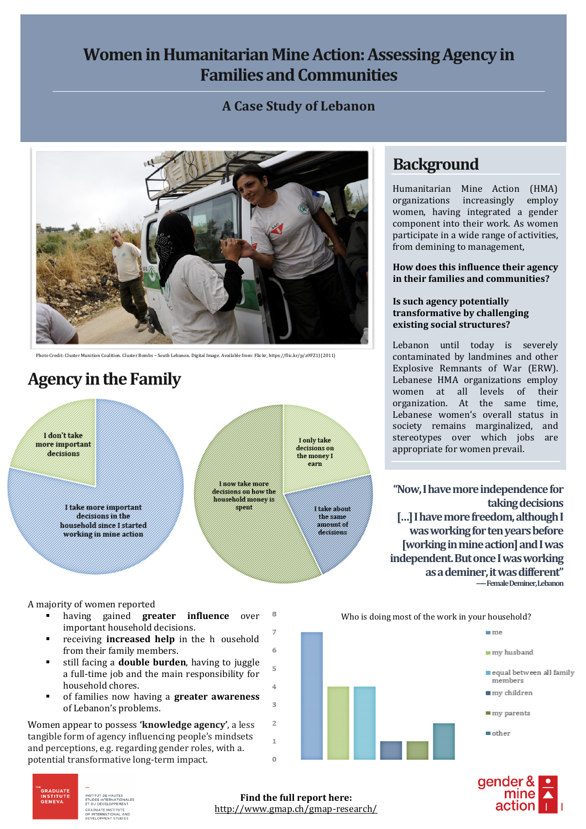### **Women in Humanitarian Mine Action: Assessing Agency in Families and Communities**

#### **A Case Study of Lebanon**



Photo Credit: Cluster Munition Coalition. Cluster Bombs – South Lebanon. Digital Image. Available from: Flickr, https://flic.kr/p/a9FZ1J (2011)

# **Agency in the Family**



#### A majority of women reported

- 8 having gained **greater influence** over important household decisions.
- receiving **increased help** in the h ousehold from their family members.
- still facing a **double burden**, having to juggle a full-time job and the main responsibility for household chores.
- of families now having a **greater awareness** of Lebanon's problems.

Women appear to possess **'knowledge agency'**, a less tangible form of agency influencing people's mindsets and perceptions, e.g. regarding gender roles, with a. potential transformative long-term impact.

### **Background**

Humanitarian Mine Action (HMA) organizations increasingly employ women, having integrated a gender component into their work. As women participate in a wide range of activities, from demining to management,

**How does this influence their agency in their families and communities?**

#### **Is such agency potentially transformative by challenging existing social structures?**

Lebanon until today is severely contaminated by landmines and other Explosive Remnants of War (ERW). Lebanese HMA organizations employ women at all levels of their organization. At the same time, Lebanese women's overall status in society remains marginalized, and stereotypes over which jobs are appropriate for women prevail.

**"Now, I have more independence for taking decisions […] I have more freedom, although I was working for ten years before [working in mine action] and I was independent. But once I was working as a deminer, it was different" -----Female Deminer, Lebanon**







TITUT DE HAUTES **ETUDES INTERNATIONALES<br>ET DU DÉVELOPPEMENT** 

E<br>GRADUATE<br>INSTITUTE<br>GENEVA

**Find the full report here:** http://www.gmap.ch/gmap-research/

6

 $\overline{5}$ 

4

 $\overline{3}$ 

 $\overline{z}$ 

 $\overline{1}$  $\Omega$